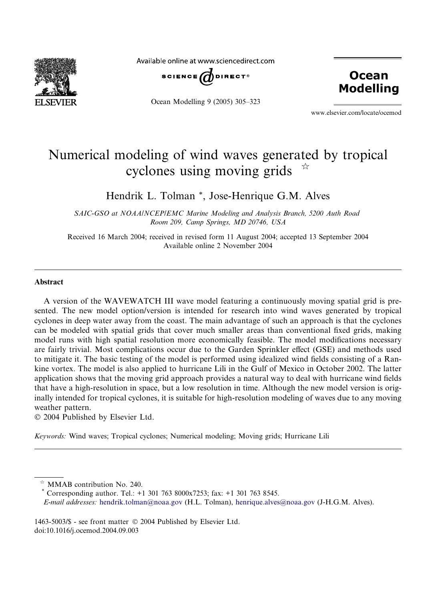

Available online at www.sciencedirect.com



Ocean Modelling 9 (2005) 305–323

Ocean **Modelling** 

www.elsevier.com/locate/ocemod

# Numerical modeling of wind waves generated by tropical cyclones using moving grids

Hendrik L. Tolman \*, Jose-Henrique G.M. Alves

SAIC-GSO at NOAA/NCEP/EMC Marine Modeling and Analysis Branch, 5200 Auth Road Room 209, Camp Springs, MD 20746, USA

Received 16 March 2004; received in revised form 11 August 2004; accepted 13 September 2004 Available online 2 November 2004

#### Abstract

A version of the WAVEWATCH III wave model featuring a continuously moving spatial grid is presented. The new model option/version is intended for research into wind waves generated by tropical cyclones in deep water away from the coast. The main advantage of such an approach is that the cyclones can be modeled with spatial grids that cover much smaller areas than conventional fixed grids, making model runs with high spatial resolution more economically feasible. The model modifications necessary are fairly trivial. Most complications occur due to the Garden Sprinkler effect (GSE) and methods used to mitigate it. The basic testing of the model is performed using idealized wind fields consisting of a Rankine vortex. The model is also applied to hurricane Lili in the Gulf of Mexico in October 2002. The latter application shows that the moving grid approach provides a natural way to deal with hurricane wind fields that have a high-resolution in space, but a low resolution in time. Although the new model version is originally intended for tropical cyclones, it is suitable for high-resolution modeling of waves due to any moving weather pattern.

2004 Published by Elsevier Ltd.

Keywords: Wind waves; Tropical cyclones; Numerical modeling; Moving grids; Hurricane Lili

1463-5003/\$ - see front matter © 2004 Published by Elsevier Ltd. doi:10.1016/j.ocemod.2004.09.003

 $\hat{z}$  MMAB contribution No. 240.<br> $\hat{z}$  Corresponding author. Tel.: +1 301 763 8000x7253; fax: +1 301 763 8545. E-mail addresses: [hendrik.tolman@noaa.gov](mailto:hendrik.tolman@noaa.gov ) (H.L. Tolman), [henrique.alves@noaa.gov](mailto:henrique.alves@noaa.gov ) (J-H.G.M. Alves).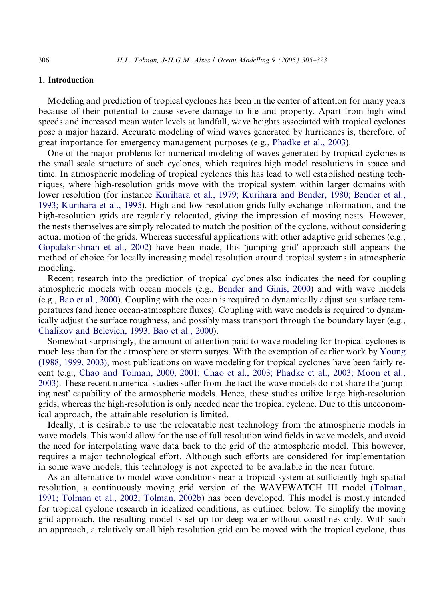### 1. Introduction

Modeling and prediction of tropical cyclones has been in the center of attention for many years because of their potential to cause severe damage to life and property. Apart from high wind speeds and increased mean water levels at landfall, wave heights associated with tropical cyclones pose a major hazard. Accurate modeling of wind waves generated by hurricanes is, therefore, of great importance for emergency management purposes (e.g., [Phadke et al., 2003\)](#page-18-0).

One of the major problems for numerical modeling of waves generated by tropical cyclones is the small scale structure of such cyclones, which requires high model resolutions in space and time. In atmospheric modeling of tropical cyclones this has lead to well established nesting techniques, where high-resolution grids move with the tropical system within larger domains with lower resolution (for instance [Kurihara et al., 1979; Kurihara and Bender, 1980; Bender et al.,](#page-18-0) [1993; Kurihara et al., 1995](#page-18-0)). High and low resolution grids fully exchange information, and the high-resolution grids are regularly relocated, giving the impression of moving nests. However, the nests themselves are simply relocated to match the position of the cyclone, without considering actual motion of the grids. Whereas successful applications with other adaptive grid schemes (e.g., [Gopalakrishnan et al., 2002\)](#page-18-0) have been made, this 'jumping grid' approach still appears the method of choice for locally increasing model resolution around tropical systems in atmospheric modeling.

Recent research into the prediction of tropical cyclones also indicates the need for coupling atmospheric models with ocean models (e.g., [Bender and Ginis, 2000](#page-17-0)) and with wave models (e.g., [Bao et al., 2000](#page-17-0)). Coupling with the ocean is required to dynamically adjust sea surface temperatures (and hence ocean-atmosphere fluxes). Coupling with wave models is required to dynamically adjust the surface roughness, and possibly mass transport through the boundary layer (e.g., [Chalikov and Belevich, 1993; Bao et al., 2000\)](#page-17-0).

Somewhat surprisingly, the amount of attention paid to wave modeling for tropical cyclones is much less than for the atmosphere or storm surges. With the exemption of earlier work by [Young](#page-18-0) [\(1988, 1999, 2003\)](#page-18-0), most publications on wave modeling for tropical cyclones have been fairly recent (e.g., [Chao and Tolman, 2000, 2001; Chao et al., 2003; Phadke et al., 2003; Moon et al.,](#page-17-0) [2003](#page-17-0)). These recent numerical studies suffer from the fact the wave models do not share the jumping nest' capability of the atmospheric models. Hence, these studies utilize large high-resolution grids, whereas the high-resolution is only needed near the tropical cyclone. Due to this uneconomical approach, the attainable resolution is limited.

Ideally, it is desirable to use the relocatable nest technology from the atmospheric models in wave models. This would allow for the use of full resolution wind fields in wave models, and avoid the need for interpolating wave data back to the grid of the atmospheric model. This however, requires a major technological effort. Although such efforts are considered for implementation in some wave models, this technology is not expected to be available in the near future.

As an alternative to model wave conditions near a tropical system at sufficiently high spatial resolution, a continuously moving grid version of the WAVEWATCH III model ([Tolman,](#page-18-0) [1991; Tolman et al., 2002; Tolman, 2002b](#page-18-0)) has been developed. This model is mostly intended for tropical cyclone research in idealized conditions, as outlined below. To simplify the moving grid approach, the resulting model is set up for deep water without coastlines only. With such an approach, a relatively small high resolution grid can be moved with the tropical cyclone, thus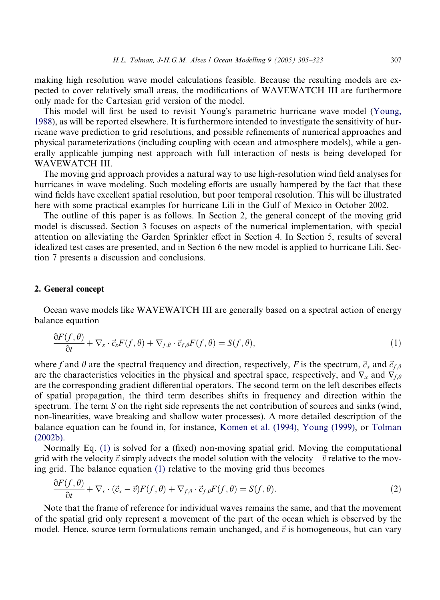<span id="page-2-0"></span>making high resolution wave model calculations feasible. Because the resulting models are expected to cover relatively small areas, the modifications of WAVEWATCH III are furthermore only made for the Cartesian grid version of the model.

This model will first be used to revisit Young's parametric hurricane wave model ([Young,](#page-18-0) [1988](#page-18-0)), as will be reported elsewhere. It is furthermore intended to investigate the sensitivity of hurricane wave prediction to grid resolutions, and possible refinements of numerical approaches and physical parameterizations (including coupling with ocean and atmosphere models), while a generally applicable jumping nest approach with full interaction of nests is being developed for WAVEWATCH III.

The moving grid approach provides a natural way to use high-resolution wind field analyses for hurricanes in wave modeling. Such modeling efforts are usually hampered by the fact that these wind fields have excellent spatial resolution, but poor temporal resolution. This will be illustrated here with some practical examples for hurricane Lili in the Gulf of Mexico in October 2002.

The outline of this paper is as follows. In Section 2, the general concept of the moving grid model is discussed. Section 3 focuses on aspects of the numerical implementation, with special attention on alleviating the Garden Sprinkler effect in Section 4. In Section 5, results of several idealized test cases are presented, and in Section 6 the new model is applied to hurricane Lili. Section 7 presents a discussion and conclusions.

## 2. General concept

Ocean wave models like WAVEWATCH III are generally based on a spectral action of energy balance equation

$$
\frac{\partial F(f,\theta)}{\partial t} + \nabla_x \cdot \vec{c}_x F(f,\theta) + \nabla_{f,\theta} \cdot \vec{c}_{f,\theta} F(f,\theta) = S(f,\theta),\tag{1}
$$

where f and  $\theta$  are the spectral frequency and direction, respectively, F is the spectrum,  $\vec{c}_x$  and  $\vec{c}_{f,\theta}$ are the characteristics velocities in the physical and spectral space, respectively, and  $\nabla_x$  and  $\nabla_{f,\theta}$ are the corresponding gradient differential operators. The second term on the left describes effects of spatial propagation, the third term describes shifts in frequency and direction within the spectrum. The term S on the right side represents the net contribution of sources and sinks (wind, non-linearities, wave breaking and shallow water processes). A more detailed description of the balance equation can be found in, for instance, [Komen et al. \(1994\)](#page-18-0), [Young \(1999\)](#page-18-0), or [Tolman](#page-18-0) [\(2002b\).](#page-18-0)

Normally Eq. (1) is solved for a (fixed) non-moving spatial grid. Moving the computational grid with the velocity  $\vec{v}$  simply advects the model solution with the velocity  $-\vec{v}$  relative to the moving grid. The balance equation (1) relative to the moving grid thus becomes

$$
\frac{\partial F(f,\theta)}{\partial t} + \nabla_x \cdot (\vec{c}_x - \vec{v}) F(f,\theta) + \nabla_{f,\theta} \cdot \vec{c}_{f,\theta} F(f,\theta) = S(f,\theta). \tag{2}
$$

Note that the frame of reference for individual waves remains the same, and that the movement of the spatial grid only represent a movement of the part of the ocean which is observed by the model. Hence, source term formulations remain unchanged, and  $\vec{v}$  is homogeneous, but can vary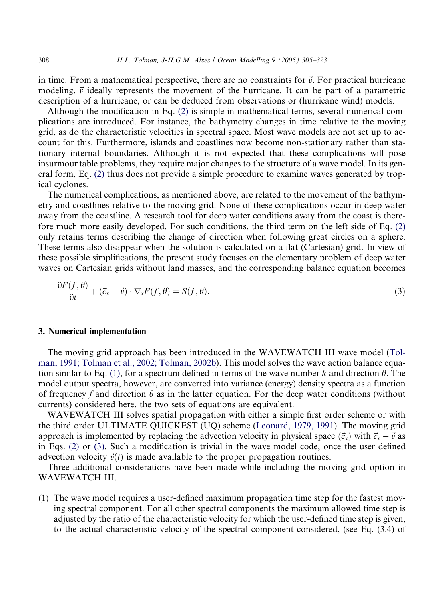<span id="page-3-0"></span>in time. From a mathematical perspective, there are no constraints for  $\vec{v}$ . For practical hurricane modeling,  $\vec{v}$  ideally represents the movement of the hurricane. It can be part of a parametric description of a hurricane, or can be deduced from observations or (hurricane wind) models.

Although the modification in Eq. [\(2\)](#page-2-0) is simple in mathematical terms, several numerical complications are introduced. For instance, the bathymetry changes in time relative to the moving grid, as do the characteristic velocities in spectral space. Most wave models are not set up to account for this. Furthermore, islands and coastlines now become non-stationary rather than stationary internal boundaries. Although it is not expected that these complications will pose insurmountable problems, they require major changes to the structure of a wave model. In its general form, Eq. [\(2\)](#page-2-0) thus does not provide a simple procedure to examine waves generated by tropical cyclones.

The numerical complications, as mentioned above, are related to the movement of the bathymetry and coastlines relative to the moving grid. None of these complications occur in deep water away from the coastline. A research tool for deep water conditions away from the coast is therefore much more easily developed. For such conditions, the third term on the left side of Eq. [\(2\)](#page-2-0) only retains terms describing the change of direction when following great circles on a sphere. These terms also disappear when the solution is calculated on a flat (Cartesian) grid. In view of these possible simplifications, the present study focuses on the elementary problem of deep water waves on Cartesian grids without land masses, and the corresponding balance equation becomes

$$
\frac{\partial F(f,\theta)}{\partial t} + (\vec{c}_x - \vec{v}) \cdot \nabla_x F(f,\theta) = S(f,\theta). \tag{3}
$$

### 3. Numerical implementation

The moving grid approach has been introduced in the WAVEWATCH III wave model ([Tol](#page-18-0)[man, 1991; Tolman et al., 2002; Tolman, 2002b](#page-18-0)). This model solves the wave action balance equa-tion similar to Eq. [\(1\)](#page-2-0), for a spectrum defined in terms of the wave number k and direction  $\theta$ . The model output spectra, however, are converted into variance (energy) density spectra as a function of frequency f and direction  $\theta$  as in the latter equation. For the deep water conditions (without currents) considered here, the two sets of equations are equivalent.

WAVEWATCH III solves spatial propagation with either a simple first order scheme or with the third order ULTIMATE QUICKEST (UQ) scheme ([Leonard, 1979, 1991](#page-18-0)). The moving grid approach is implemented by replacing the advection velocity in physical space  $(\vec{c}_x)$  with  $\vec{c}_x - \vec{v}$  as in Eqs. [\(2\)](#page-2-0) or (3). Such a modification is trivial in the wave model code, once the user defined advection velocity  $\vec{v}(t)$  is made available to the proper propagation routines.

Three additional considerations have been made while including the moving grid option in WAVEWATCH III.

(1) The wave model requires a user-defined maximum propagation time step for the fastest moving spectral component. For all other spectral components the maximum allowed time step is adjusted by the ratio of the characteristic velocity for which the user-defined time step is given, to the actual characteristic velocity of the spectral component considered, (see Eq. (3.4) of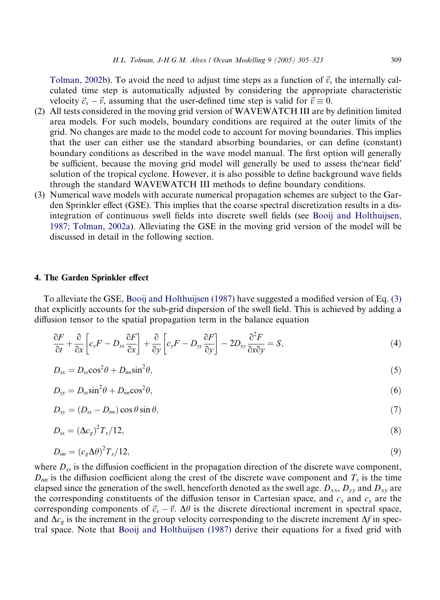<span id="page-4-0"></span>[Tolman, 2002b\)](#page-18-0). To avoid the need to adjust time steps as a function of  $\vec{v}$ , the internally calculated time step is automatically adjusted by considering the appropriate characteristic velocity  $\vec{c}_x - \vec{v}$ , assuming that the user-defined time step is valid for  $\vec{v} \equiv 0$ .

- (2) All tests considered in the moving grid version of WAVEWATCH III are by definition limited area models. For such models, boundary conditions are required at the outer limits of the grid. No changes are made to the model code to account for moving boundaries. This implies that the user can either use the standard absorbing boundaries, or can define (constant) boundary conditions as described in the wave model manual. The first option will generally be sufficient, because the moving grid model will generally be used to assess the near field' solution of the tropical cyclone. However, it is also possible to define background wave fields through the standard WAVEWATCH III methods to define boundary conditions.
- (3) Numerical wave models with accurate numerical propagation schemes are subject to the Garden Sprinkler effect (GSE). This implies that the coarse spectral discretization results in a disintegration of continuous swell fields into discrete swell fields (see [Booij and Holthuijsen,](#page-17-0) [1987; Tolman, 2002a](#page-17-0)). Alleviating the GSE in the moving grid version of the model will be discussed in detail in the following section.

## 4. The Garden Sprinkler effect

To alleviate the GSE, [Booij and Holthuijsen \(1987\)](#page-17-0) have suggested a modified version of Eq. [\(3\)](#page-3-0) that explicitly accounts for the sub-grid dispersion of the swell field. This is achieved by adding a diffusion tensor to the spatial propagation term in the balance equation

$$
\frac{\partial F}{\partial t} + \frac{\partial}{\partial x} \left[ c_x F - D_{xx} \frac{\partial F}{\partial x} \right] + \frac{\partial}{\partial y} \left[ c_y F - D_{yy} \frac{\partial F}{\partial y} \right] - 2D_{xy} \frac{\partial^2 F}{\partial x \partial y} = S,
$$
\n(4)

$$
D_{xx} = D_{ss} \cos^2 \theta + D_{nn} \sin^2 \theta, \tag{5}
$$

 $D_{yy} = D_{ss} \sin^2 \theta + D_{nn} \cos^2 \theta$  $\theta$ , (6)

$$
D_{xy} = (D_{ss} - D_{nn}) \cos \theta \sin \theta, \tag{7}
$$

$$
D_{ss} = (\Delta c_g)^2 T_s / 12, \tag{8}
$$

$$
D_{nn} = (c_g \Delta \theta)^2 T_s / 12, \tag{9}
$$

where  $D_{ss}$  is the diffusion coefficient in the propagation direction of the discrete wave component,  $D_{nn}$  is the diffusion coefficient along the crest of the discrete wave component and  $T_s$  is the time elapsed since the generation of the swell, henceforth denoted as the swell age.  $D_{xx}$ ,  $D_{yy}$  and  $D_{xy}$  are the corresponding constituents of the diffusion tensor in Cartesian space, and  $c_x$  and  $c_y$  are the corresponding components of  $\vec{c}_x - \vec{v}$ .  $\Delta\theta$  is the discrete directional increment in spectral space, and  $\Delta c_g$  is the increment in the group velocity corresponding to the discrete increment  $\Delta f$  in spectral space. Note that [Booij and Holthuijsen \(1987\)](#page-17-0) derive their equations for a fixed grid with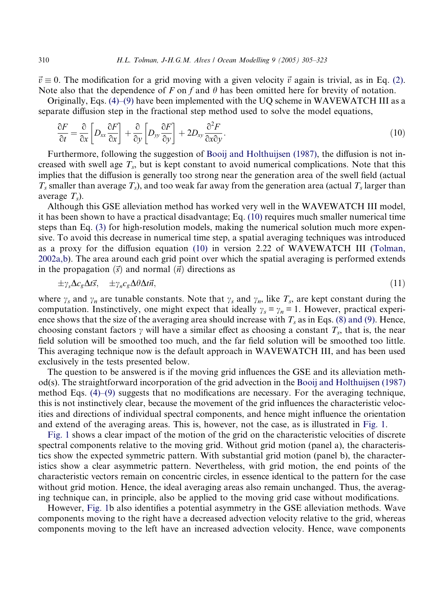$\vec{v} \equiv 0$ . The modification for a grid moving with a given velocity  $\vec{v}$  again is trivial, as in Eq. [\(2\).](#page-2-0) Note also that the dependence of F on f and  $\theta$  has been omitted here for brevity of notation.

Originally, Eqs. [\(4\)–\(9\)](#page-4-0) have been implemented with the UQ scheme in WAVEWATCH III as a separate diffusion step in the fractional step method used to solve the model equations,

$$
\frac{\partial F}{\partial t} = \frac{\partial}{\partial x} \left[ D_{xx} \frac{\partial F}{\partial x} \right] + \frac{\partial}{\partial y} \left[ D_{yy} \frac{\partial F}{\partial y} \right] + 2D_{xy} \frac{\partial^2 F}{\partial x \partial y}.
$$
\n(10)

Furthermore, following the suggestion of [Booij and Holthuijsen \(1987\)](#page-17-0), the diffusion is not increased with swell age  $T_s$ , but is kept constant to avoid numerical complications. Note that this implies that the diffusion is generally too strong near the generation area of the swell field (actual  $T_s$  smaller than average  $T_s$ ), and too weak far away from the generation area (actual  $T_s$  larger than average  $T_s$ ).

Although this GSE alleviation method has worked very well in the WAVEWATCH III model, it has been shown to have a practical disadvantage; Eq. (10) requires much smaller numerical time steps than Eq. [\(3\)](#page-3-0) for high-resolution models, making the numerical solution much more expensive. To avoid this decrease in numerical time step, a spatial averaging techniques was introduced as a proxy for the diffusion equation (10) in version 2.22 of WAVEWATCH III ([Tolman,](#page-18-0) [2002a,b\)](#page-18-0). The area around each grid point over which the spatial averaging is performed extends in the propagation  $\overrightarrow{s}$  and normal  $\overrightarrow{n}$  directions as

$$
\pm \gamma_s \Delta c_g \Delta t \vec{s}, \quad \pm \gamma_n c_g \Delta \theta \Delta t \vec{n}, \tag{11}
$$

where  $\gamma_s$  and  $\gamma_n$  are tunable constants. Note that  $\gamma_s$  and  $\gamma_n$ , like  $T_s$ , are kept constant during the computation. Instinctively, one might expect that ideally  $\gamma_s = \gamma_n = 1$ . However, practical experience shows that the size of the averaging area should increase with  $T_s$  as in Eqs. [\(8\) and \(9\).](#page-4-0) Hence, choosing constant factors  $\gamma$  will have a similar effect as choosing a constant  $T_s$ , that is, the near field solution will be smoothed too much, and the far field solution will be smoothed too little. This averaging technique now is the default approach in WAVEWATCH III, and has been used exclusively in the tests presented below.

The question to be answered is if the moving grid influences the GSE and its alleviation method(s). The straightforward incorporation of the grid advection in the [Booij and Holthuijsen \(1987\)](#page-17-0) method Eqs.  $(4)$ – $(9)$  suggests that no modifications are necessary. For the averaging technique, this is not instinctively clear, because the movement of the grid influences the characteristic velocities and directions of individual spectral components, and hence might influence the orientation and extend of the averaging areas. This is, however, not the case, as is illustrated in [Fig. 1.](#page-6-0)

[Fig. 1](#page-6-0) shows a clear impact of the motion of the grid on the characteristic velocities of discrete spectral components relative to the moving grid. Without grid motion (panel a), the characteristics show the expected symmetric pattern. With substantial grid motion (panel b), the characteristics show a clear asymmetric pattern. Nevertheless, with grid motion, the end points of the characteristic vectors remain on concentric circles, in essence identical to the pattern for the case without grid motion. Hence, the ideal averaging areas also remain unchanged. Thus, the averaging technique can, in principle, also be applied to the moving grid case without modifications.

However, [Fig. 1](#page-6-0)b also identifies a potential asymmetry in the GSE alleviation methods. Wave components moving to the right have a decreased advection velocity relative to the grid, whereas components moving to the left have an increased advection velocity. Hence, wave components

<span id="page-5-0"></span>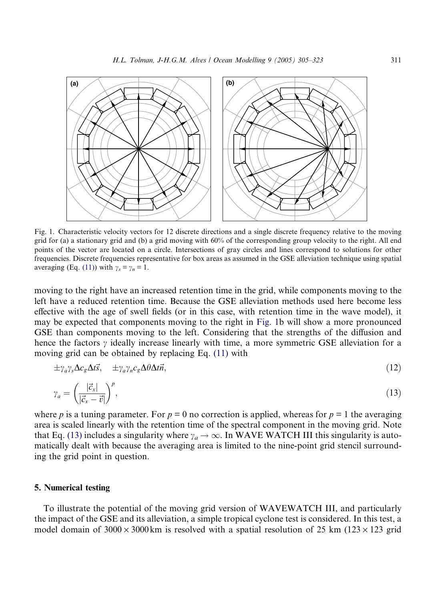<span id="page-6-0"></span>

Fig. 1. Characteristic velocity vectors for 12 discrete directions and a single discrete frequency relative to the moving grid for (a) a stationary grid and (b) a grid moving with 60% of the corresponding group velocity to the right. All end points of the vector are located on a circle. Intersections of gray circles and lines correspond to solutions for other frequencies. Discrete frequencies representative for box areas as assumed in the GSE alleviation technique using spatial averaging (Eq. [\(11\)\)](#page-5-0) with  $\gamma_s = \gamma_n = 1$ .

moving to the right have an increased retention time in the grid, while components moving to the left have a reduced retention time. Because the GSE alleviation methods used here become less effective with the age of swell fields (or in this case, with retention time in the wave model), it may be expected that components moving to the right in Fig. 1b will show a more pronounced GSE than components moving to the left. Considering that the strengths of the diffusion and hence the factors  $\gamma$  ideally increase linearly with time, a more symmetric GSE alleviation for a moving grid can be obtained by replacing Eq. [\(11\)](#page-5-0) with

$$
\pm \gamma_a \gamma_s \Delta c_g \Delta t \vec{s}, \quad \pm \gamma_a \gamma_n c_g \Delta \theta \Delta t \vec{n}, \tag{12}
$$

$$
\gamma_a = \left(\frac{|\vec{c}_x|}{|\vec{c}_x - \vec{v}|}\right)^p, \tag{13}
$$

where p is a tuning parameter. For  $p = 0$  no correction is applied, whereas for  $p = 1$  the averaging area is scaled linearly with the retention time of the spectral component in the moving grid. Note that Eq. (13) includes a singularity where  $\gamma_a \to \infty$ . In WAVE WATCH III this singularity is automatically dealt with because the averaging area is limited to the nine-point grid stencil surrounding the grid point in question.

### 5. Numerical testing

To illustrate the potential of the moving grid version of WAVEWATCH III, and particularly the impact of the GSE and its alleviation, a simple tropical cyclone test is considered. In this test, a model domain of  $3000 \times 3000$  km is resolved with a spatial resolution of 25 km (123  $\times$  123 grid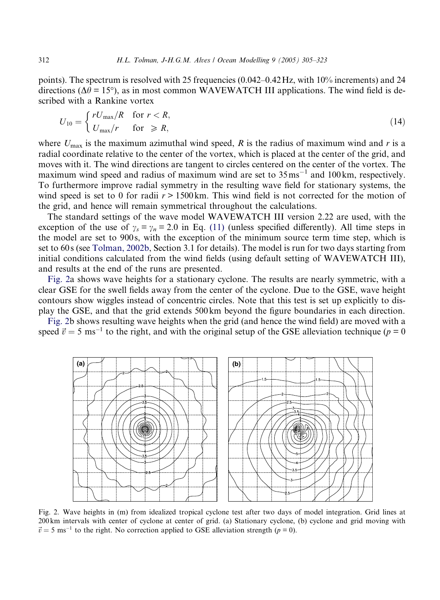<span id="page-7-0"></span>points). The spectrum is resolved with 25 frequencies (0.042–0.42Hz, with 10% increments) and 24 directions ( $\Delta\theta$  = 15°), as in most common WAVEWATCH III applications. The wind field is described with a Rankine vortex

$$
U_{10} = \begin{cases} rU_{\text{max}}/R & \text{for } r < R, \\ U_{\text{max}}/r & \text{for } \geq R, \end{cases} \tag{14}
$$

where  $U_{\text{max}}$  is the maximum azimuthal wind speed, R is the radius of maximum wind and r is a radial coordinate relative to the center of the vortex, which is placed at the center of the grid, and moves with it. The wind directions are tangent to circles centered on the center of the vortex. The maximum wind speed and radius of maximum wind are set to  $35 \text{ ms}^{-1}$  and  $100 \text{ km}$ , respectively. To furthermore improve radial symmetry in the resulting wave field for stationary systems, the wind speed is set to 0 for radii  $r > 1500 \text{ km}$ . This wind field is not corrected for the motion of the grid, and hence will remain symmetrical throughout the calculations.

The standard settings of the wave model WAVEWATCH III version 2.22 are used, with the exception of the use of  $\gamma_s = \gamma_n = 2.0$  in Eq. [\(11\)](#page-5-0) (unless specified differently). All time steps in the model are set to 900 s, with the exception of the minimum source term time step, which is set to 60 s (see [Tolman, 2002b](#page-18-0), Section 3.1 for details). The model is run for two days starting from initial conditions calculated from the wind fields (using default setting of WAVEWATCH III), and results at the end of the runs are presented.

Fig. 2a shows wave heights for a stationary cyclone. The results are nearly symmetric, with a clear GSE for the swell fields away from the center of the cyclone. Due to the GSE, wave height contours show wiggles instead of concentric circles. Note that this test is set up explicitly to display the GSE, and that the grid extends 500 km beyond the figure boundaries in each direction.

Fig. 2b shows resulting wave heights when the grid (and hence the wind field) are moved with a speed  $\vec{v} = 5 \text{ ms}^{-1}$  to the right, and with the original setup of the GSE alleviation technique ( $p = 0$ 



Fig. 2. Wave heights in (m) from idealized tropical cyclone test after two days of model integration. Grid lines at 200 km intervals with center of cyclone at center of grid. (a) Stationary cyclone, (b) cyclone and grid moving with  $\vec{v} = 5$  ms<sup>-1</sup> to the right. No correction applied to GSE alleviation strength ( $p = 0$ ).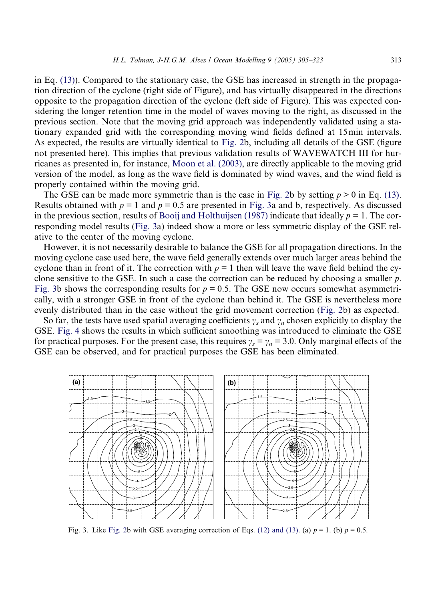in Eq. [\(13\)\)](#page-6-0). Compared to the stationary case, the GSE has increased in strength in the propagation direction of the cyclone (right side of Figure), and has virtually disappeared in the directions opposite to the propagation direction of the cyclone (left side of Figure). This was expected considering the longer retention time in the model of waves moving to the right, as discussed in the previous section. Note that the moving grid approach was independently validated using a stationary expanded grid with the corresponding moving wind fields defined at 15min intervals. As expected, the results are virtually identical to [Fig. 2b](#page-7-0), including all details of the GSE (figure not presented here). This implies that previous validation results of WAVEWATCH III for hurricanes as presented in, for instance, [Moon et al. \(2003\)](#page-18-0), are directly applicable to the moving grid version of the model, as long as the wave field is dominated by wind waves, and the wind field is properly contained within the moving grid.

The GSE can be made more symmetric than is the case in [Fig. 2](#page-7-0)b by setting  $p > 0$  in Eq. [\(13\).](#page-6-0) Results obtained with  $p = 1$  and  $p = 0.5$  are presented in Fig. 3a and b, respectively. As discussed in the previous section, results of [Booij and Holthuijsen \(1987\)](#page-17-0) indicate that ideally  $p = 1$ . The corresponding model results (Fig. 3a) indeed show a more or less symmetric display of the GSE relative to the center of the moving cyclone.

However, it is not necessarily desirable to balance the GSE for all propagation directions. In the moving cyclone case used here, the wave field generally extends over much larger areas behind the cyclone than in front of it. The correction with  $p = 1$  then will leave the wave field behind the cyclone sensitive to the GSE. In such a case the correction can be reduced by choosing a smaller  $p$ . Fig. 3b shows the corresponding results for  $p = 0.5$ . The GSE now occurs somewhat asymmetrically, with a stronger GSE in front of the cyclone than behind it. The GSE is nevertheless more evenly distributed than in the case without the grid movement correction [\(Fig. 2](#page-7-0)b) as expected.

So far, the tests have used spatial averaging coefficients  $\gamma_s$  and  $\gamma_n$  chosen explicitly to display the GSE. [Fig. 4](#page-9-0) shows the results in which sufficient smoothing was introduced to eliminate the GSE for practical purposes. For the present case, this requires  $\gamma_s = \gamma_n = 3.0$ . Only marginal effects of the GSE can be observed, and for practical purposes the GSE has been eliminated.



Fig. 3. Like [Fig. 2b](#page-7-0) with GSE averaging correction of Eqs. [\(12\) and \(13\).](#page-6-0) (a)  $p = 1$ . (b)  $p = 0.5$ .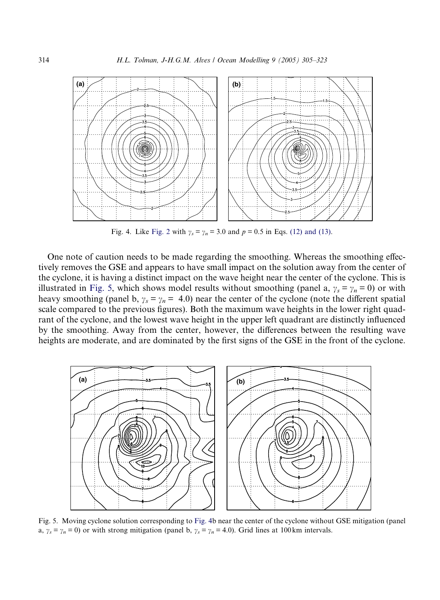<span id="page-9-0"></span>

Fig. 4. Like [Fig. 2](#page-7-0) with  $\gamma_s = \gamma_n = 3.0$  and  $p = 0.5$  in Eqs. [\(12\) and \(13\)](#page-6-0).

One note of caution needs to be made regarding the smoothing. Whereas the smoothing effectively removes the GSE and appears to have small impact on the solution away from the center of the cyclone, it is having a distinct impact on the wave height near the center of the cyclone. This is illustrated in Fig. 5, which shows model results without smoothing (panel a,  $\gamma_s = \gamma_n = 0$ ) or with heavy smoothing (panel b,  $\gamma_s = \gamma_n = 4.0$ ) near the center of the cyclone (note the different spatial scale compared to the previous figures). Both the maximum wave heights in the lower right quadrant of the cyclone, and the lowest wave height in the upper left quadrant are distinctly influenced by the smoothing. Away from the center, however, the differences between the resulting wave heights are moderate, and are dominated by the first signs of the GSE in the front of the cyclone.



Fig. 5. Moving cyclone solution corresponding to Fig. 4b near the center of the cyclone without GSE mitigation (panel a,  $y_s = y_n = 0$ ) or with strong mitigation (panel b,  $y_s = y_n = 4.0$ ). Grid lines at 100 km intervals.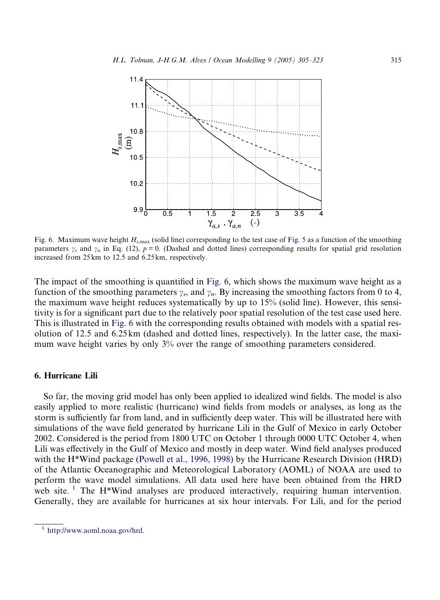

Fig. 6. Maximum wave height  $H_{s, max}$  (solid line) corresponding to the test case of [Fig. 5](#page-9-0) as a function of the smoothing parameters  $\gamma_s$  and  $\gamma_n$  in Eq. [\(12\),](#page-6-0)  $p = 0$ . (Dashed and dotted lines) corresponding results for spatial grid resolution increased from 25 km to 12.5 and 6.25 km, respectively.

The impact of the smoothing is quantified in Fig. 6, which shows the maximum wave height as a function of the smoothing parameters  $\gamma_s$ , and  $\gamma_n$ . By increasing the smoothing factors from 0 to 4, the maximum wave height reduces systematically by up to 15% (solid line). However, this sensitivity is for a significant part due to the relatively poor spatial resolution of the test case used here. This is illustrated in Fig. 6 with the corresponding results obtained with models with a spatial resolution of 12.5 and 6.25 km (dashed and dotted lines, respectively). In the latter case, the maximum wave height varies by only 3% over the range of smoothing parameters considered.

#### 6. Hurricane Lili

So far, the moving grid model has only been applied to idealized wind fields. The model is also easily applied to more realistic (hurricane) wind fields from models or analyses, as long as the storm is sufficiently far from land, and in sufficiently deep water. This will be illustrated here with simulations of the wave field generated by hurricane Lili in the Gulf of Mexico in early October 2002. Considered is the period from 1800 UTC on October 1 through 0000 UTC October 4, when Lili was effectively in the Gulf of Mexico and mostly in deep water. Wind field analyses produced with the H\*Wind package ([Powell et al., 1996, 1998\)](#page-18-0) by the Hurricane Research Division (HRD) of the Atlantic Oceanographic and Meteorological Laboratory (AOML) of NOAA are used to perform the wave model simulations. All data used here have been obtained from the HRD web site.  $\frac{1}{1}$  The H\*Wind analyses are produced interactively, requiring human intervention. Generally, they are available for hurricanes at six hour intervals. For Lili, and for the period

<sup>1</sup> [http://www.aoml.noaa.gov/hrd.](http://polar.ncep.noaa.gov/mmab/tpbs/tpb478/tpb478.htm)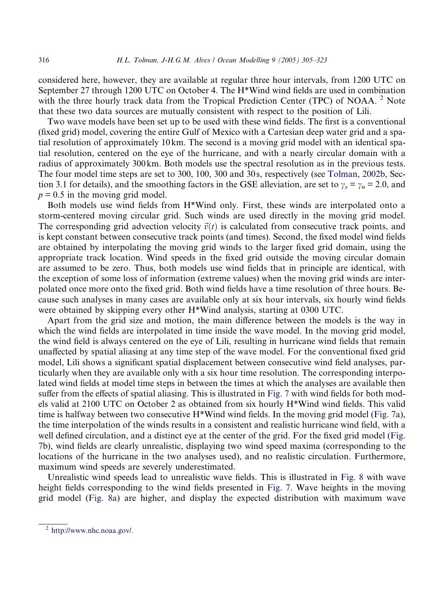considered here, however, they are available at regular three hour intervals, from 1200 UTC on September 27 through 1200 UTC on October 4. The H\*Wind wind fields are used in combination with the three hourly track data from the Tropical Prediction Center (TPC) of NOAA.<sup>2</sup> Note that these two data sources are mutually consistent with respect to the position of Lili.

Two wave models have been set up to be used with these wind fields. The first is a conventional (fixed grid) model, covering the entire Gulf of Mexico with a Cartesian deep water grid and a spatial resolution of approximately 10 km. The second is a moving grid model with an identical spatial resolution, centered on the eye of the hurricane, and with a nearly circular domain with a radius of approximately 300 km. Both models use the spectral resolution as in the previous tests. The four model time steps are set to 300, 100, 300 and 30s, respectively (see [Tolman, 2002b](#page-18-0), Section 3.1 for details), and the smoothing factors in the GSE alleviation, are set to  $\gamma_s = \gamma_n = 2.0$ , and  $p = 0.5$  in the moving grid model.

Both models use wind fields from H\*Wind only. First, these winds are interpolated onto a storm-centered moving circular grid. Such winds are used directly in the moving grid model. The corresponding grid advection velocity  $\vec{v}(t)$  is calculated from consecutive track points, and is kept constant between consecutive track points (and times). Second, the fixed model wind fields are obtained by interpolating the moving grid winds to the larger fixed grid domain, using the appropriate track location. Wind speeds in the fixed grid outside the moving circular domain are assumed to be zero. Thus, both models use wind fields that in principle are identical, with the exception of some loss of information (extreme values) when the moving grid winds are interpolated once more onto the fixed grid. Both wind fields have a time resolution of three hours. Because such analyses in many cases are available only at six hour intervals, six hourly wind fields were obtained by skipping every other H\*Wind analysis, starting at 0300 UTC.

Apart from the grid size and motion, the main difference between the models is the way in which the wind fields are interpolated in time inside the wave model. In the moving grid model, the wind field is always centered on the eye of Lili, resulting in hurricane wind fields that remain unaffected by spatial aliasing at any time step of the wave model. For the conventional fixed grid model, Lili shows a significant spatial displacement between consecutive wind field analyses, particularly when they are available only with a six hour time resolution. The corresponding interpolated wind fields at model time steps in between the times at which the analyses are available then suffer from the effects of spatial aliasing. This is illustrated in [Fig. 7](#page-12-0) with wind fields for both models valid at 2100 UTC on October 2 as obtained from six hourly H\*Wind wind fields. This valid time is halfway between two consecutive H\*Wind wind fields. In the moving grid model ([Fig. 7a](#page-12-0)), the time interpolation of the winds results in a consistent and realistic hurricane wind field, with a well defined circulation, and a distinct eye at the center of the grid. For the fixed grid model [\(Fig.](#page-12-0) [7b](#page-12-0)), wind fields are clearly unrealistic, displaying two wind speed maxima (corresponding to the locations of the hurricane in the two analyses used), and no realistic circulation. Furthermore, maximum wind speeds are severely underestimated.

Unrealistic wind speeds lead to unrealistic wave fields. This is illustrated in [Fig. 8](#page-12-0) with wave height fields corresponding to the wind fields presented in [Fig. 7](#page-12-0). Wave heights in the moving grid model ([Fig. 8](#page-12-0)a) are higher, and display the expected distribution with maximum wave

<sup>2</sup> [http://www.nhc.noaa.gov/.](http://polar.ncep.noaa.gov/mmab/tpbs/tpb478/tpb478.htm)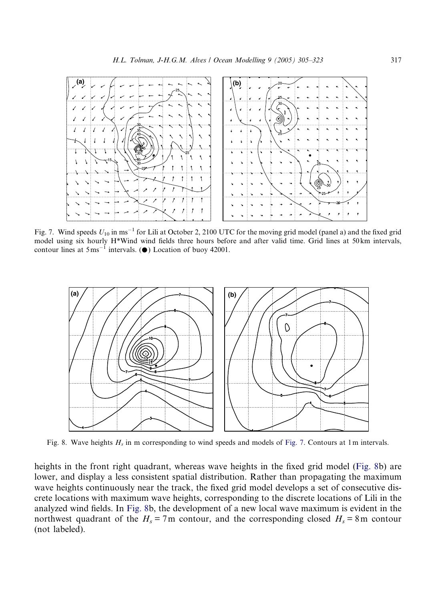<span id="page-12-0"></span>

Fig. 7. Wind speeds  $U_{10}$  in ms<sup>-1</sup> for Lili at October 2, 2100 UTC for the moving grid model (panel a) and the fixed grid model using six hourly H\*Wind wind fields three hours before and after valid time. Grid lines at 50 km intervals, contour lines at  $5 \text{ ms}^{-1}$  intervals. ( $\bullet$ ) Location of buoy 42001.



Fig. 8. Wave heights  $H_s$  in m corresponding to wind speeds and models of Fig. 7. Contours at 1m intervals.

heights in the front right quadrant, whereas wave heights in the fixed grid model (Fig. 8b) are lower, and display a less consistent spatial distribution. Rather than propagating the maximum wave heights continuously near the track, the fixed grid model develops a set of consecutive discrete locations with maximum wave heights, corresponding to the discrete locations of Lili in the analyzed wind fields. In Fig. 8b, the development of a new local wave maximum is evident in the northwest quadrant of the  $H_s = 7$ m contour, and the corresponding closed  $H_s = 8$ m contour (not labeled).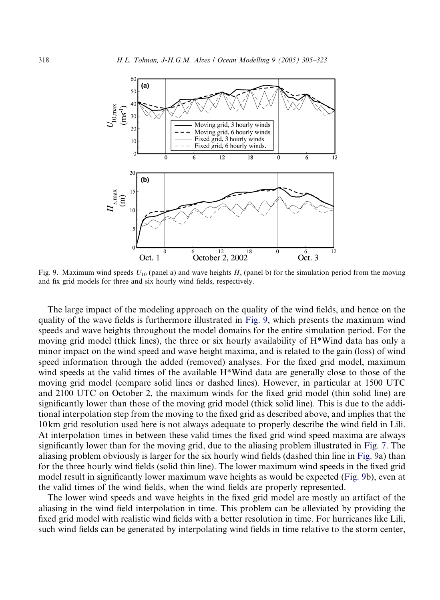

Fig. 9. Maximum wind speeds  $U_{10}$  (panel a) and wave heights  $H_s$  (panel b) for the simulation period from the moving and fix grid models for three and six hourly wind fields, respectively.

The large impact of the modeling approach on the quality of the wind fields, and hence on the quality of the wave fields is furthermore illustrated in Fig. 9, which presents the maximum wind speeds and wave heights throughout the model domains for the entire simulation period. For the moving grid model (thick lines), the three or six hourly availability of H\*Wind data has only a minor impact on the wind speed and wave height maxima, and is related to the gain (loss) of wind speed information through the added (removed) analyses. For the fixed grid model, maximum wind speeds at the valid times of the available H\*Wind data are generally close to those of the moving grid model (compare solid lines or dashed lines). However, in particular at 1500 UTC and 2100 UTC on October 2, the maximum winds for the fixed grid model (thin solid line) are significantly lower than those of the moving grid model (thick solid line). This is due to the additional interpolation step from the moving to the fixed grid as described above, and implies that the 10 km grid resolution used here is not always adequate to properly describe the wind field in Lili. At interpolation times in between these valid times the fixed grid wind speed maxima are always significantly lower than for the moving grid, due to the aliasing problem illustrated in [Fig. 7.](#page-12-0) The aliasing problem obviously is larger for the six hourly wind fields (dashed thin line in Fig. 9a) than for the three hourly wind fields (solid thin line). The lower maximum wind speeds in the fixed grid model result in significantly lower maximum wave heights as would be expected (Fig. 9b), even at the valid times of the wind fields, when the wind fields are properly represented.

The lower wind speeds and wave heights in the fixed grid model are mostly an artifact of the aliasing in the wind field interpolation in time. This problem can be alleviated by providing the fixed grid model with realistic wind fields with a better resolution in time. For hurricanes like Lili, such wind fields can be generated by interpolating wind fields in time relative to the storm center,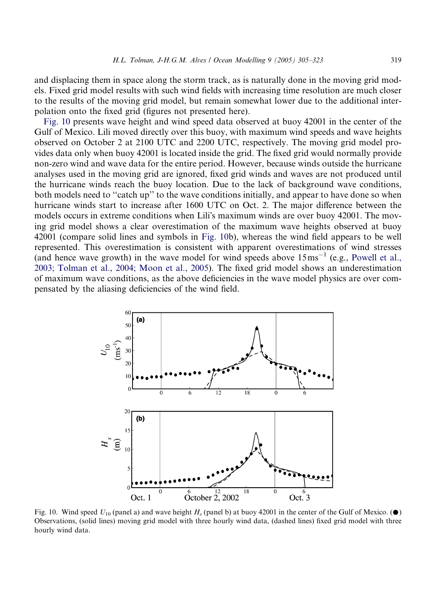and displacing them in space along the storm track, as is naturally done in the moving grid models. Fixed grid model results with such wind fields with increasing time resolution are much closer to the results of the moving grid model, but remain somewhat lower due to the additional interpolation onto the fixed grid (figures not presented here).

Fig. 10 presents wave height and wind speed data observed at buoy 42001 in the center of the Gulf of Mexico. Lili moved directly over this buoy, with maximum wind speeds and wave heights observed on October 2 at 2100 UTC and 2200 UTC, respectively. The moving grid model provides data only when buoy 42001 is located inside the grid. The fixed grid would normally provide non-zero wind and wave data for the entire period. However, because winds outside the hurricane analyses used in the moving grid are ignored, fixed grid winds and waves are not produced until the hurricane winds reach the buoy location. Due to the lack of background wave conditions, both models need to ''catch up'' to the wave conditions initially, and appear to have done so when hurricane winds start to increase after 1600 UTC on Oct. 2. The major difference between the models occurs in extreme conditions when Lili's maximum winds are over buoy 42001. The moving grid model shows a clear overestimation of the maximum wave heights observed at buoy 42001 (compare solid lines and symbols in Fig. 10b), whereas the wind field appears to be well represented. This overestimation is consistent with apparent overestimations of wind stresses (and hence wave growth) in the wave model for wind speeds above  $15 \text{ ms}^{-1}$  (e.g., [Powell et al.,](#page-18-0) [2003; Tolman et al., 2004; Moon et al., 2005\)](#page-18-0). The fixed grid model shows an underestimation of maximum wave conditions, as the above deficiencies in the wave model physics are over compensated by the aliasing deficiencies of the wind field.



Fig. 10. Wind speed  $U_{10}$  (panel a) and wave height  $H_s$  (panel b) at buoy 42001 in the center of the Gulf of Mexico.  $\bullet$ Observations, (solid lines) moving grid model with three hourly wind data, (dashed lines) fixed grid model with three hourly wind data.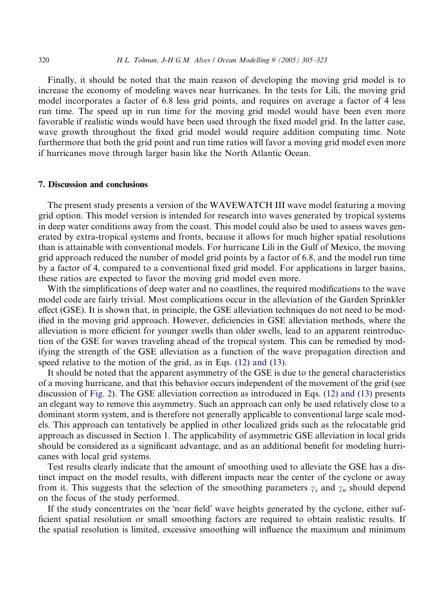Finally, it should be noted that the main reason of developing the moving grid model is to increase the economy of modeling waves near hurricanes. In the tests for Lili, the moving grid model incorporates a factor of 6.8 less grid points, and requires on average a factor of 4 less run time. The speed up in run time for the moving grid model would have been even more favorable if realistic winds would have been used through the fixed model grid. In the latter case, wave growth throughout the fixed grid model would require addition computing time. Note furthermore that both the grid point and run time ratios will favor a moving grid model even more if hurricanes move through larger basin like the North Atlantic Ocean.

# 7. Discussion and conclusions

The present study presents a version of the WAVEWATCH III wave model featuring a moving grid option. This model version is intended for research into waves generated by tropical systems in deep water conditions away from the coast. This model could also be used to assess waves generated by extra-tropical systems and fronts, because it allows for much higher spatial resolutions than is attainable with conventional models. For hurricane Lili in the Gulf of Mexico, the moving grid approach reduced the number of model grid points by a factor of 6.8, and the model run time by a factor of 4, compared to a conventional fixed grid model. For applications in larger basins, these ratios are expected to favor the moving grid model even more.

With the simplifications of deep water and no coastlines, the required modifications to the wave model code are fairly trivial. Most complications occur in the alleviation of the Garden Sprinkler effect (GSE). It is shown that, in principle, the GSE alleviation techniques do not need to be modified in the moving grid approach. However, deficiencies in GSE alleviation methods, where the alleviation is more efficient for younger swells than older swells, lead to an apparent reintroduction of the GSE for waves traveling ahead of the tropical system. This can be remedied by modifying the strength of the GSE alleviation as a function of the wave propagation direction and speed relative to the motion of the grid, as in Eqs. [\(12\) and \(13\)](#page-6-0).

It should be noted that the apparent asymmetry of the GSE is due to the general characteristics of a moving hurricane, and that this behavior occurs independent of the movement of the grid (see discussion of [Fig. 2](#page-7-0)). The GSE alleviation correction as introduced in Eqs. [\(12\) and \(13\)](#page-6-0) presents an elegant way to remove this asymmetry. Such an approach can only be used relatively close to a dominant storm system, and is therefore not generally applicable to conventional large scale models. This approach can tentatively be applied in other localized grids such as the relocatable grid approach as discussed in Section 1. The applicability of asymmetric GSE alleviation in local grids should be considered as a significant advantage, and as an additional benefit for modeling hurricanes with local grid systems.

Test results clearly indicate that the amount of smoothing used to alleviate the GSE has a distinct impact on the model results, with different impacts near the center of the cyclone or away from it. This suggests that the selection of the smoothing parameters  $\gamma_s$  and  $\gamma_n$  should depend on the focus of the study performed.

If the study concentrates on the 'near field' wave heights generated by the cyclone, either sufficient spatial resolution or small smoothing factors are required to obtain realistic results. If the spatial resolution is limited, excessive smoothing will influence the maximum and minimum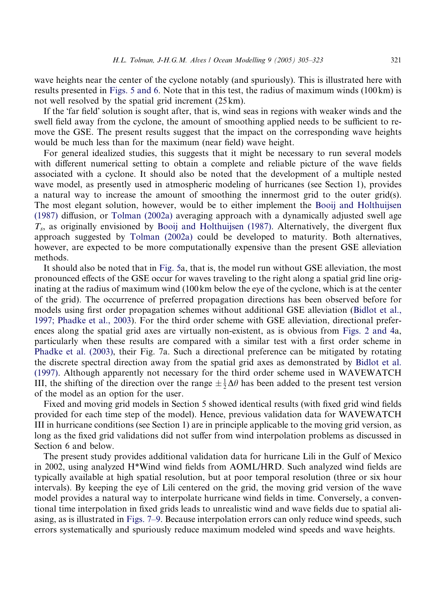wave heights near the center of the cyclone notably (and spuriously). This is illustrated here with results presented in [Figs. 5 and 6.](#page-9-0) Note that in this test, the radius of maximum winds (100 km) is not well resolved by the spatial grid increment (25 km).

If the 'far field' solution is sought after, that is, wind seas in regions with weaker winds and the swell field away from the cyclone, the amount of smoothing applied needs to be sufficient to remove the GSE. The present results suggest that the impact on the corresponding wave heights would be much less than for the maximum (near field) wave height.

For general idealized studies, this suggests that it might be necessary to run several models with different numerical setting to obtain a complete and reliable picture of the wave fields associated with a cyclone. It should also be noted that the development of a multiple nested wave model, as presently used in atmospheric modeling of hurricanes (see Section 1), provides a natural way to increase the amount of smoothing the innermost grid to the outer grid(s). The most elegant solution, however, would be to either implement the [Booij and Holthuijsen](#page-17-0) [\(1987\)](#page-17-0) diffusion, or [Tolman \(2002a\)](#page-18-0) averaging approach with a dynamically adjusted swell age  $T<sub>s</sub>$ , as originally envisioned by [Booij and Holthuijsen \(1987\).](#page-17-0) Alternatively, the divergent flux approach suggested by [Tolman \(2002a\)](#page-18-0) could be developed to maturity. Both alternatives, however, are expected to be more computationally expensive than the present GSE alleviation methods.

It should also be noted that in [Fig. 5a](#page-9-0), that is, the model run without GSE alleviation, the most pronounced effects of the GSE occur for waves traveling to the right along a spatial grid line originating at the radius of maximum wind (100 km below the eye of the cyclone, which is at the center of the grid). The occurrence of preferred propagation directions has been observed before for models using first order propagation schemes without additional GSE alleviation [\(Bidlot et al.,](#page-17-0) [1997; Phadke et al., 2003](#page-17-0)). For the third order scheme with GSE alleviation, directional preferences along the spatial grid axes are virtually non-existent, as is obvious from [Figs. 2 and 4](#page-7-0)a, particularly when these results are compared with a similar test with a first order scheme in [Phadke et al. \(2003\),](#page-18-0) their Fig. 7a. Such a directional preference can be mitigated by rotating the discrete spectral direction away from the spatial grid axes as demonstrated by [Bidlot et al.](#page-17-0) [\(1997\).](#page-17-0) Although apparently not necessary for the third order scheme used in WAVEWATCH III, the shifting of the direction over the range  $\pm \frac{1}{2} \Delta \theta$  has been added to the present test version of the model as an option for the user.

Fixed and moving grid models in Section 5 showed identical results (with fixed grid wind fields provided for each time step of the model). Hence, previous validation data for WAVEWATCH III in hurricane conditions (see Section 1) are in principle applicable to the moving grid version, as long as the fixed grid validations did not suffer from wind interpolation problems as discussed in Section 6 and below.

The present study provides additional validation data for hurricane Lili in the Gulf of Mexico in 2002, using analyzed H\*Wind wind fields from AOML/HRD. Such analyzed wind fields are typically available at high spatial resolution, but at poor temporal resolution (three or six hour intervals). By keeping the eye of Lili centered on the grid, the moving grid version of the wave model provides a natural way to interpolate hurricane wind fields in time. Conversely, a conventional time interpolation in fixed grids leads to unrealistic wind and wave fields due to spatial aliasing, as is illustrated in [Figs. 7–9](#page-12-0). Because interpolation errors can only reduce wind speeds, such errors systematically and spuriously reduce maximum modeled wind speeds and wave heights.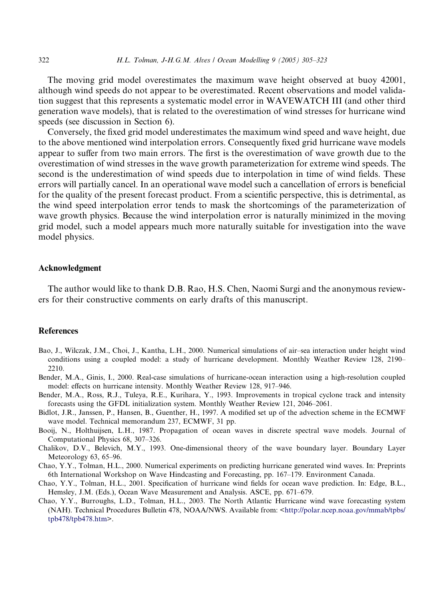<span id="page-17-0"></span>The moving grid model overestimates the maximum wave height observed at buoy 42001, although wind speeds do not appear to be overestimated. Recent observations and model validation suggest that this represents a systematic model error in WAVEWATCH III (and other third generation wave models), that is related to the overestimation of wind stresses for hurricane wind speeds (see discussion in Section 6).

Conversely, the fixed grid model underestimates the maximum wind speed and wave height, due to the above mentioned wind interpolation errors. Consequently fixed grid hurricane wave models appear to suffer from two main errors. The first is the overestimation of wave growth due to the overestimation of wind stresses in the wave growth parameterization for extreme wind speeds. The second is the underestimation of wind speeds due to interpolation in time of wind fields. These errors will partially cancel. In an operational wave model such a cancellation of errors is beneficial for the quality of the present forecast product. From a scientific perspective, this is detrimental, as the wind speed interpolation error tends to mask the shortcomings of the parameterization of wave growth physics. Because the wind interpolation error is naturally minimized in the moving grid model, such a model appears much more naturally suitable for investigation into the wave model physics.

## Acknowledgment

The author would like to thank D.B. Rao, H.S. Chen, Naomi Surgi and the anonymous reviewers for their constructive comments on early drafts of this manuscript.

## References

- Bao, J., Wilczak, J.M., Choi, J., Kantha, L.H., 2000. Numerical simulations of air–sea interaction under height wind conditions using a coupled model: a study of hurricane development. Monthly Weather Review 128, 2190– 2210.
- Bender, M.A., Ginis, I., 2000. Real-case simulations of hurricane-ocean interaction using a high-resolution coupled model: effects on hurricane intensity. Monthly Weather Review 128, 917–946.
- Bender, M.A., Ross, R.J., Tuleya, R.E., Kurihara, Y., 1993. Improvements in tropical cyclone track and intensity forecasts using the GFDL initialization system. Monthly Weather Review 121, 2046–2061.
- Bidlot, J.R., Janssen, P., Hansen, B., Guenther, H., 1997. A modified set up of the advection scheme in the ECMWF wave model. Technical memorandum 237, ECMWF, 31 pp.
- Booij, N., Holthuijsen, L.H., 1987. Propagation of ocean waves in discrete spectral wave models. Journal of Computational Physics 68, 307–326.
- Chalikov, D.V., Belevich, M.Y., 1993. One-dimensional theory of the wave boundary layer. Boundary Layer Meteorology 63, 65–96.
- Chao, Y.Y., Tolman, H.L., 2000. Numerical experiments on predicting hurricane generated wind waves. In: Preprints 6th International Workshop on Wave Hindcasting and Forecasting, pp. 167–179. Environment Canada.
- Chao, Y.Y., Tolman, H.L., 2001. Specification of hurricane wind fields for ocean wave prediction. In: Edge, B.L., Hemsley, J.M. (Eds.), Ocean Wave Measurement and Analysis. ASCE, pp. 671–679.
- Chao, Y.Y., Burroughs, L.D., Tolman, H.L., 2003. The North Atlantic Hurricane wind wave forecasting system (NAH). Technical Procedures Bulletin 478, NOAA/NWS. Available from: [<http://polar.ncep.noaa.gov/mmab/tpbs/](http://polar.ncep.noaa.gov/mmab/tpbs/tpb478/tpb478.htm) [tpb478/tpb478.htm](http://polar.ncep.noaa.gov/mmab/tpbs/tpb478/tpb478.htm)>.